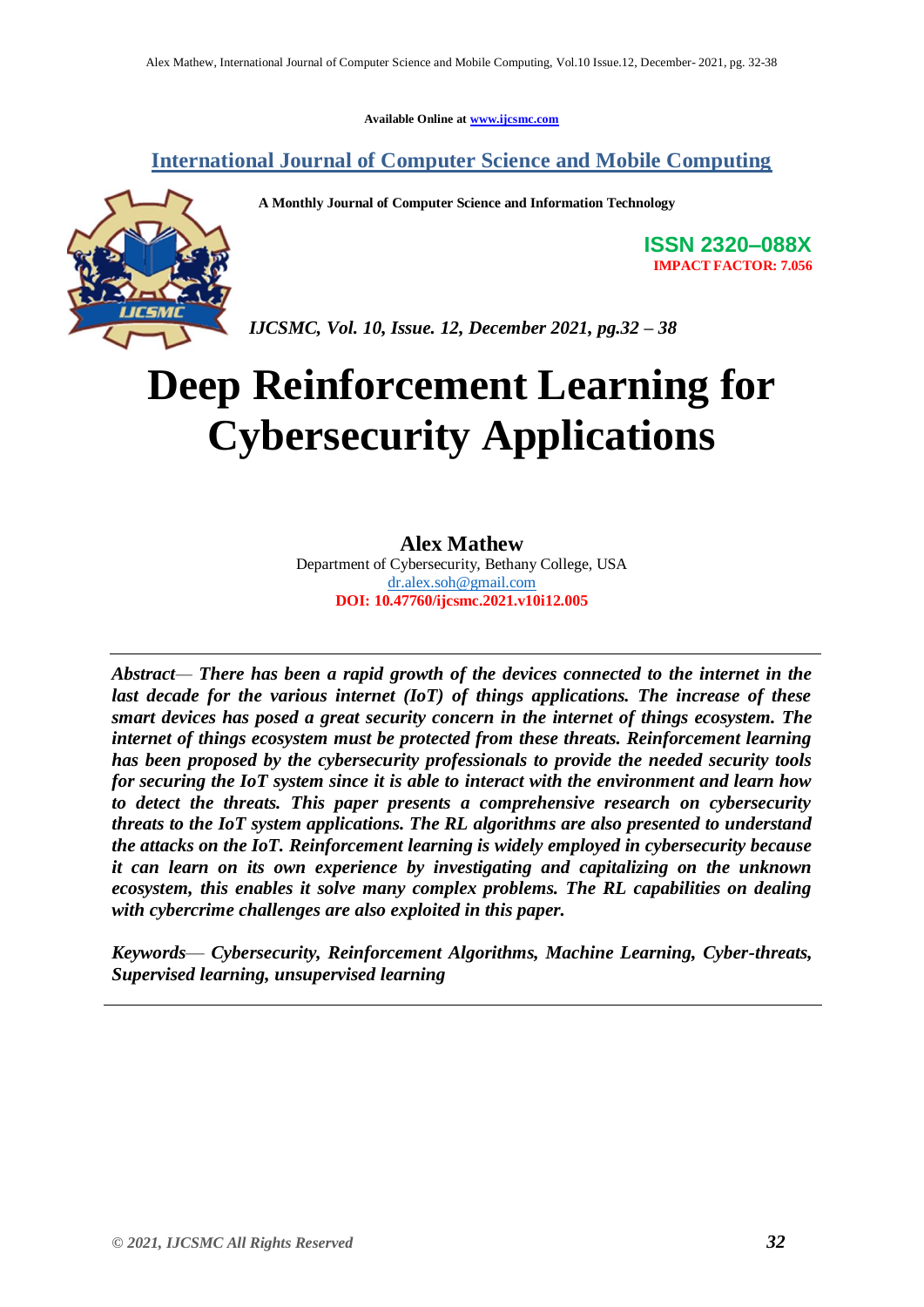**Available Online at www.ijcsmc.com**

# **International Journal of Computer Science and Mobile Computing**

 **A Monthly Journal of Computer Science and Information Technology**



**ISSN 2320–088X IMPACT FACTOR: 7.056**

*IJCSMC, Vol. 10, Issue. 12, December 2021, pg.32 – 38*

# **Deep Reinforcement Learning for Cybersecurity Applications**

## **Alex Mathew**

Department of Cybersecurity, Bethany College, USA dr.alex.soh@gmail.com **DOI: 10.47760/ijcsmc.2021.v10i12.005**

*Abstract— There has been a rapid growth of the devices connected to the internet in the*  last decade for the various internet (IoT) of things applications. The increase of these *smart devices has posed a great security concern in the internet of things ecosystem. The internet of things ecosystem must be protected from these threats. Reinforcement learning has been proposed by the cybersecurity professionals to provide the needed security tools for securing the IoT system since it is able to interact with the environment and learn how to detect the threats. This paper presents a comprehensive research on cybersecurity threats to the IoT system applications. The RL algorithms are also presented to understand the attacks on the IoT. Reinforcement learning is widely employed in cybersecurity because it can learn on its own experience by investigating and capitalizing on the unknown ecosystem, this enables it solve many complex problems. The RL capabilities on dealing with cybercrime challenges are also exploited in this paper.*

*Keywords*— *Cybersecurity, Reinforcement Algorithms, Machine Learning, Cyber-threats, Supervised learning, unsupervised learning*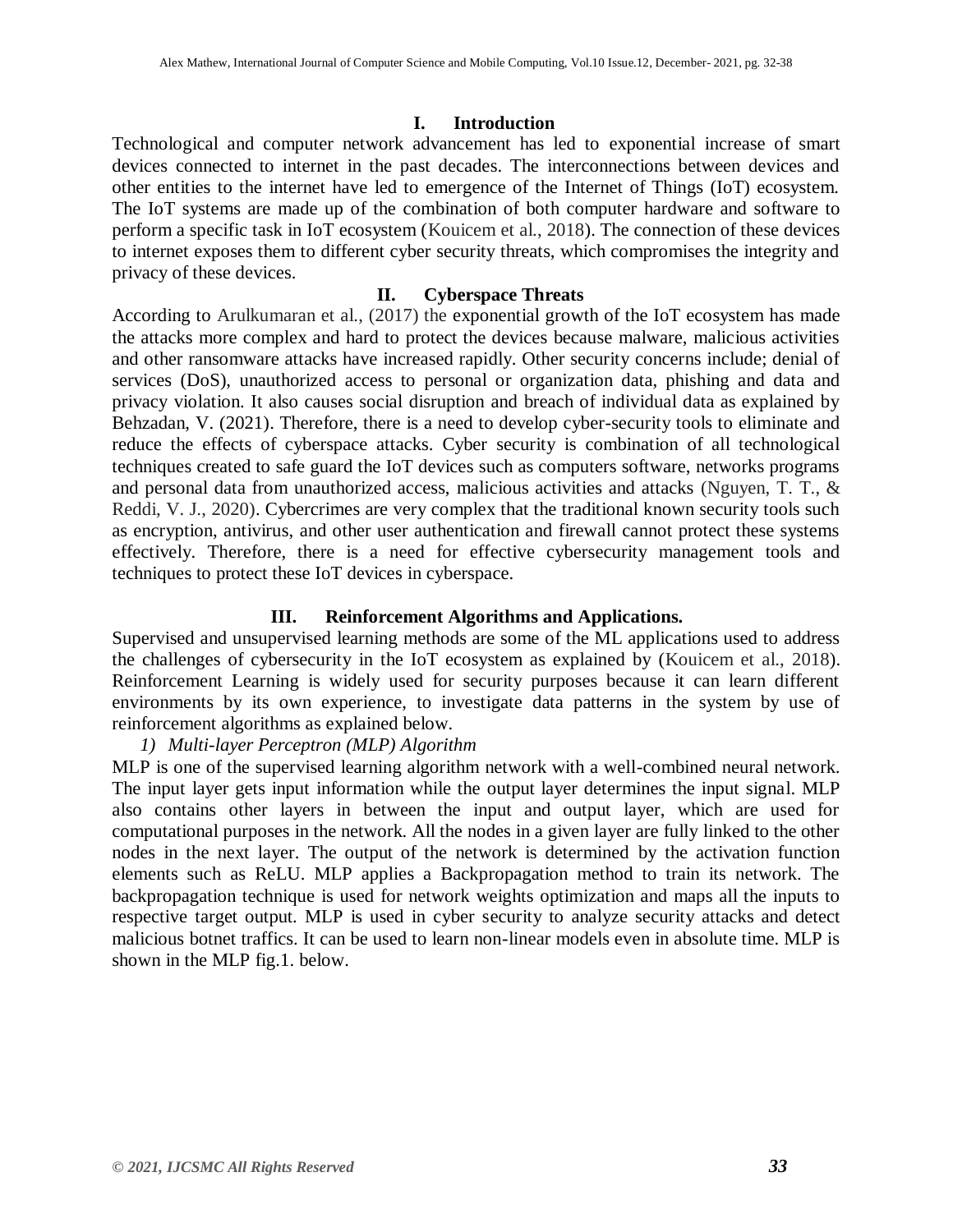#### **I. Introduction**

Technological and computer network advancement has led to exponential increase of smart devices connected to internet in the past decades. The interconnections between devices and other entities to the internet have led to emergence of the Internet of Things (IoT) ecosystem. The IoT systems are made up of the combination of both computer hardware and software to perform a specific task in IoT ecosystem (Kouicem et al., 2018). The connection of these devices to internet exposes them to different cyber security threats, which compromises the integrity and privacy of these devices.

#### **II. Cyberspace Threats**

According to Arulkumaran et al., (2017) the exponential growth of the IoT ecosystem has made the attacks more complex and hard to protect the devices because malware, malicious activities and other ransomware attacks have increased rapidly. Other security concerns include; denial of services (DoS), unauthorized access to personal or organization data, phishing and data and privacy violation. It also causes social disruption and breach of individual data as explained by Behzadan, V. (2021). Therefore, there is a need to develop cyber-security tools to eliminate and reduce the effects of cyberspace attacks. Cyber security is combination of all technological techniques created to safe guard the IoT devices such as computers software, networks programs and personal data from unauthorized access, malicious activities and attacks (Nguyen, T. T., & Reddi, V. J., 2020). Cybercrimes are very complex that the traditional known security tools such as encryption, antivirus, and other user authentication and firewall cannot protect these systems effectively. Therefore, there is a need for effective cybersecurity management tools and techniques to protect these IoT devices in cyberspace.

## **III. Reinforcement Algorithms and Applications.**

Supervised and unsupervised learning methods are some of the ML applications used to address the challenges of cybersecurity in the IoT ecosystem as explained by (Kouicem et al., 2018). Reinforcement Learning is widely used for security purposes because it can learn different environments by its own experience, to investigate data patterns in the system by use of reinforcement algorithms as explained below.

## *1) Multi-layer Perceptron (MLP) Algorithm*

MLP is one of the supervised learning algorithm network with a well-combined neural network. The input layer gets input information while the output layer determines the input signal. MLP also contains other layers in between the input and output layer, which are used for computational purposes in the network. All the nodes in a given layer are fully linked to the other nodes in the next layer. The output of the network is determined by the activation function elements such as ReLU. MLP applies a Backpropagation method to train its network. The backpropagation technique is used for network weights optimization and maps all the inputs to respective target output. MLP is used in cyber security to analyze security attacks and detect malicious botnet traffics. It can be used to learn non-linear models even in absolute time. MLP is shown in the MLP fig.1. below.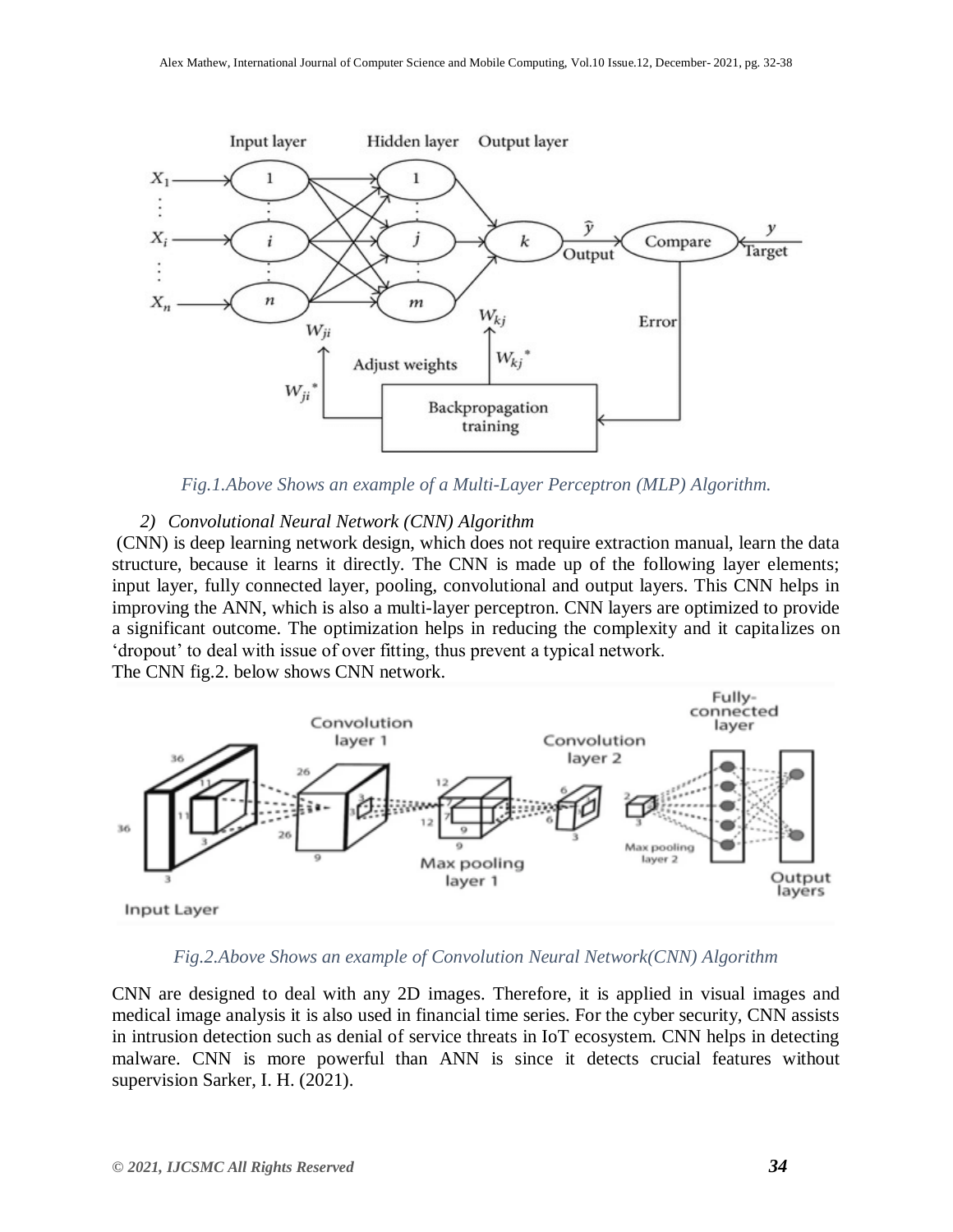

*Fig.1.Above Shows an example of a Multi-Layer Perceptron (MLP) Algorithm.*

#### *2) Convolutional Neural Network (CNN) Algorithm*

(CNN) is deep learning network design, which does not require extraction manual, learn the data structure, because it learns it directly. The CNN is made up of the following layer elements; input layer, fully connected layer, pooling, convolutional and output layers. This CNN helps in improving the ANN, which is also a multi-layer perceptron. CNN layers are optimized to provide a significant outcome. The optimization helps in reducing the complexity and it capitalizes on 'dropout' to deal with issue of over fitting, thus prevent a typical network.

The CNN fig.2. below shows CNN network.



*Fig.2.Above Shows an example of Convolution Neural Network(CNN) Algorithm*

CNN are designed to deal with any 2D images. Therefore, it is applied in visual images and medical image analysis it is also used in financial time series. For the cyber security, CNN assists in intrusion detection such as denial of service threats in IoT ecosystem. CNN helps in detecting malware. CNN is more powerful than ANN is since it detects crucial features without supervision Sarker, I. H. (2021).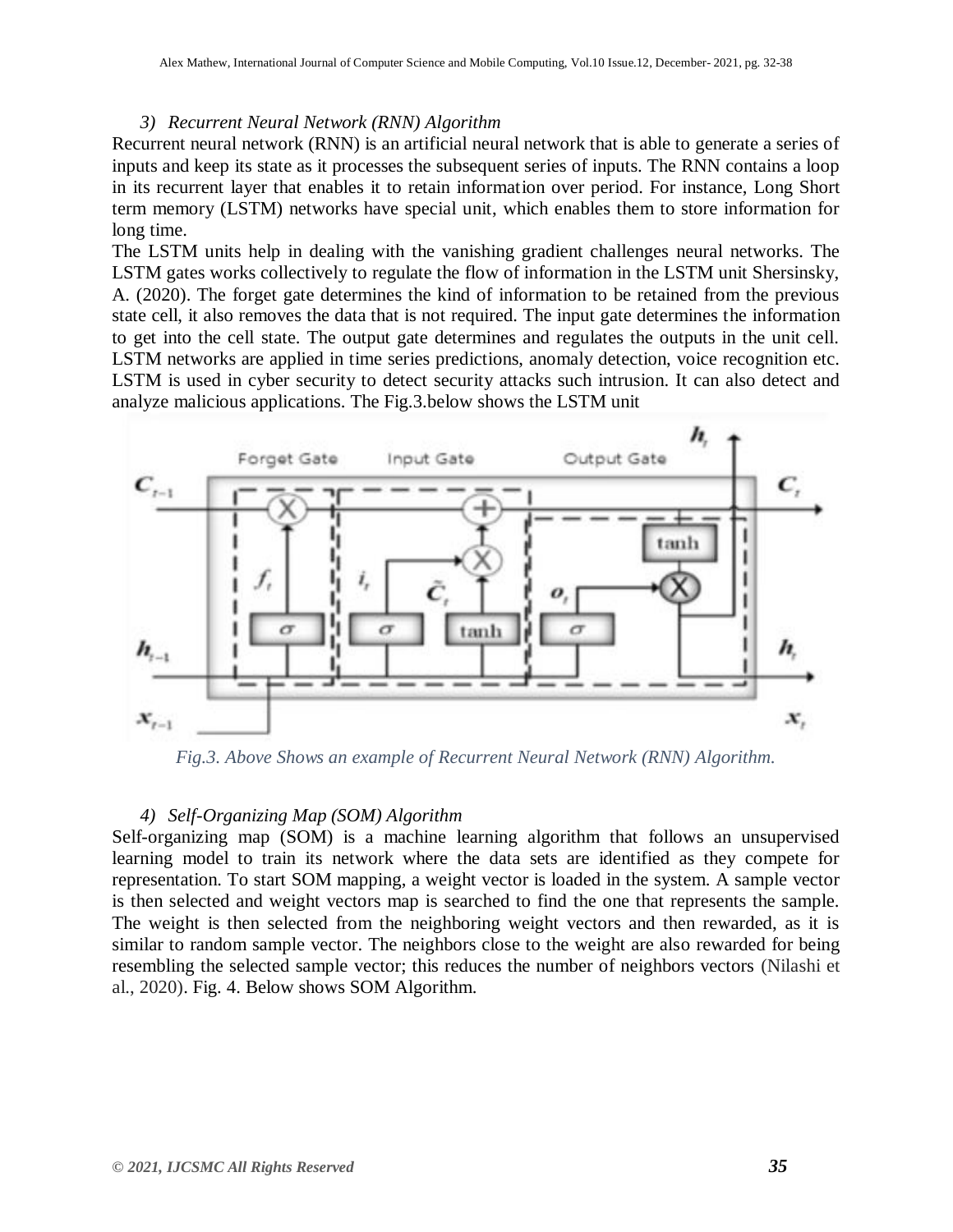#### *3) Recurrent Neural Network (RNN) Algorithm*

Recurrent neural network (RNN) is an artificial neural network that is able to generate a series of inputs and keep its state as it processes the subsequent series of inputs. The RNN contains a loop in its recurrent layer that enables it to retain information over period. For instance, Long Short term memory (LSTM) networks have special unit, which enables them to store information for long time.

The LSTM units help in dealing with the vanishing gradient challenges neural networks. The LSTM gates works collectively to regulate the flow of information in the LSTM unit Shersinsky, A. (2020). The forget gate determines the kind of information to be retained from the previous state cell, it also removes the data that is not required. The input gate determines the information to get into the cell state. The output gate determines and regulates the outputs in the unit cell. LSTM networks are applied in time series predictions, anomaly detection, voice recognition etc. LSTM is used in cyber security to detect security attacks such intrusion. It can also detect and analyze malicious applications. The Fig.3.below shows the LSTM unit



*Fig.3. Above Shows an example of Recurrent Neural Network (RNN) Algorithm.*

## *4) Self-Organizing Map (SOM) Algorithm*

Self-organizing map (SOM) is a machine learning algorithm that follows an unsupervised learning model to train its network where the data sets are identified as they compete for representation. To start SOM mapping, a weight vector is loaded in the system. A sample vector is then selected and weight vectors map is searched to find the one that represents the sample. The weight is then selected from the neighboring weight vectors and then rewarded, as it is similar to random sample vector. The neighbors close to the weight are also rewarded for being resembling the selected sample vector; this reduces the number of neighbors vectors (Nilashi et al., 2020). Fig. 4. Below shows SOM Algorithm.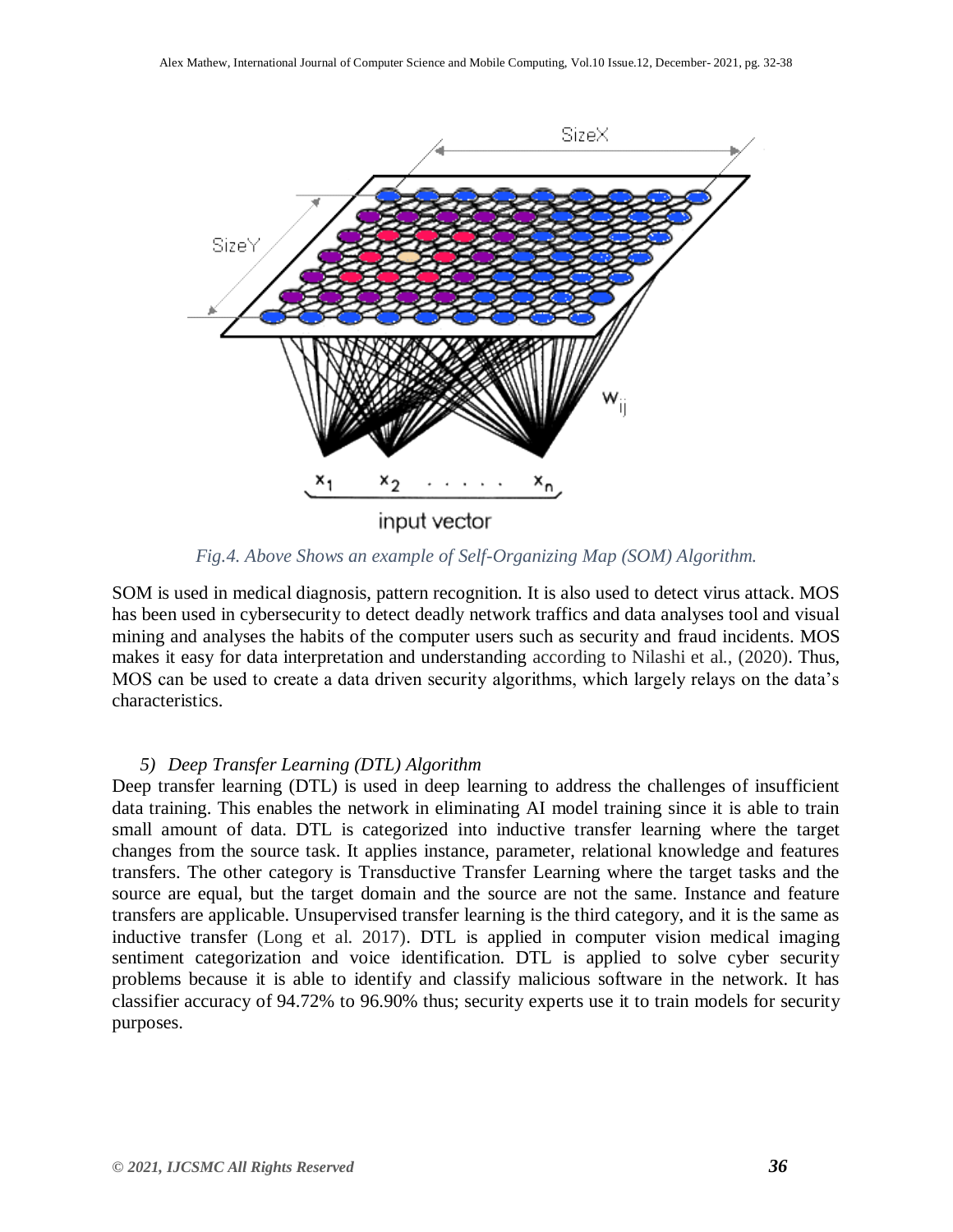

*Fig.4. Above Shows an example of Self-Organizing Map (SOM) Algorithm.*

SOM is used in medical diagnosis, pattern recognition. It is also used to detect virus attack. MOS has been used in cybersecurity to detect deadly network traffics and data analyses tool and visual mining and analyses the habits of the computer users such as security and fraud incidents. MOS makes it easy for data interpretation and understanding according to Nilashi et al., (2020). Thus, MOS can be used to create a data driven security algorithms, which largely relays on the data's characteristics.

#### *5) Deep Transfer Learning (DTL) Algorithm*

Deep transfer learning (DTL) is used in deep learning to address the challenges of insufficient data training. This enables the network in eliminating AI model training since it is able to train small amount of data. DTL is categorized into inductive transfer learning where the target changes from the source task. It applies instance, parameter, relational knowledge and features transfers. The other category is Transductive Transfer Learning where the target tasks and the source are equal, but the target domain and the source are not the same. Instance and feature transfers are applicable. Unsupervised transfer learning is the third category, and it is the same as inductive transfer (Long et al. 2017). DTL is applied in computer vision medical imaging sentiment categorization and voice identification. DTL is applied to solve cyber security problems because it is able to identify and classify malicious software in the network. It has classifier accuracy of 94.72% to 96.90% thus; security experts use it to train models for security purposes.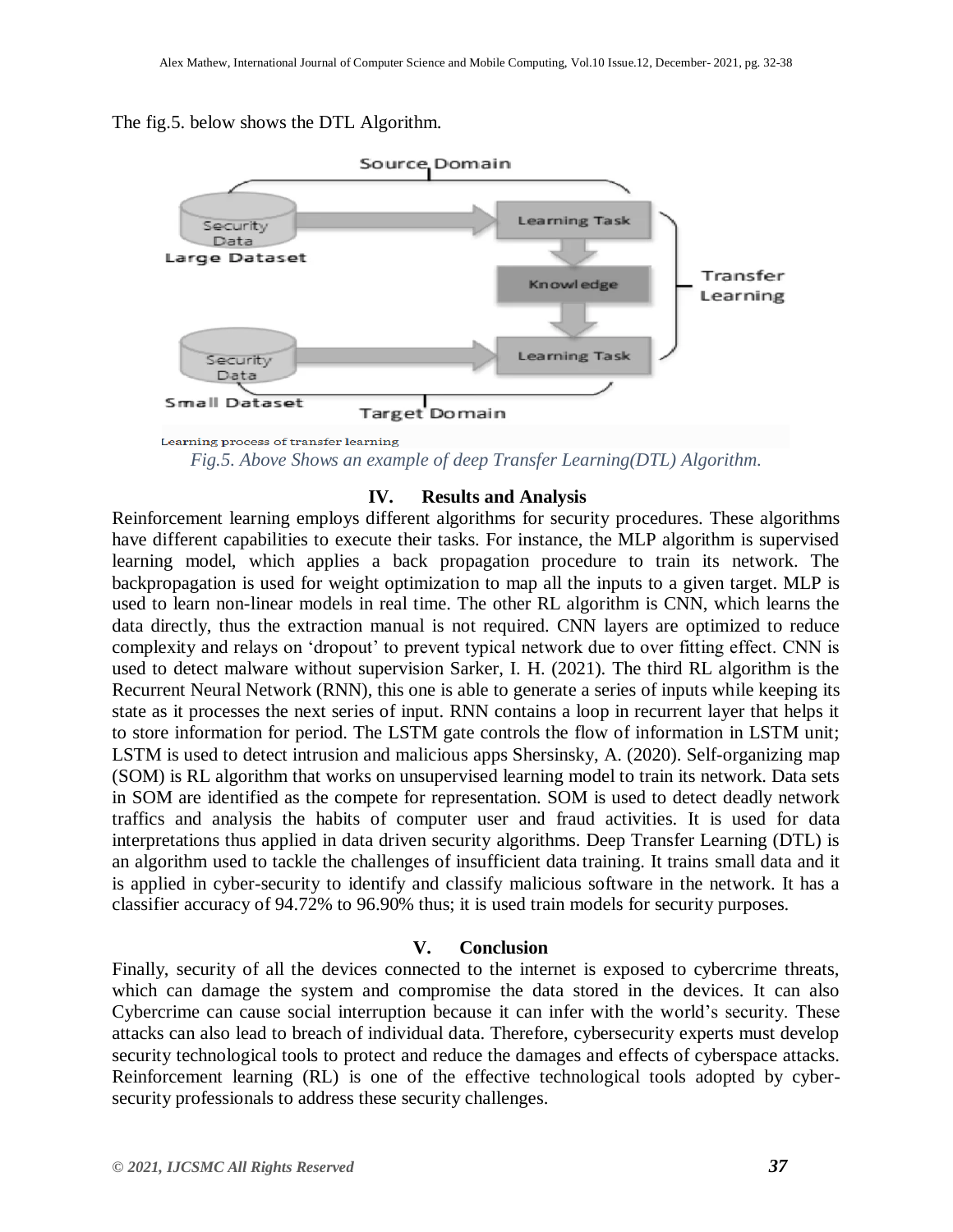#### The fig.5. below shows the DTL Algorithm.



Learning process of transfer learning *Fig.5. Above Shows an example of deep Transfer Learning(DTL) Algorithm.*

#### **IV. Results and Analysis**

Reinforcement learning employs different algorithms for security procedures. These algorithms have different capabilities to execute their tasks. For instance, the MLP algorithm is supervised learning model, which applies a back propagation procedure to train its network. The backpropagation is used for weight optimization to map all the inputs to a given target. MLP is used to learn non-linear models in real time. The other RL algorithm is CNN, which learns the data directly, thus the extraction manual is not required. CNN layers are optimized to reduce complexity and relays on 'dropout' to prevent typical network due to over fitting effect. CNN is used to detect malware without supervision Sarker, I. H. (2021). The third RL algorithm is the Recurrent Neural Network (RNN), this one is able to generate a series of inputs while keeping its state as it processes the next series of input. RNN contains a loop in recurrent layer that helps it to store information for period. The LSTM gate controls the flow of information in LSTM unit; LSTM is used to detect intrusion and malicious apps Shersinsky, A. (2020). Self-organizing map (SOM) is RL algorithm that works on unsupervised learning model to train its network. Data sets in SOM are identified as the compete for representation. SOM is used to detect deadly network traffics and analysis the habits of computer user and fraud activities. It is used for data interpretations thus applied in data driven security algorithms. Deep Transfer Learning (DTL) is an algorithm used to tackle the challenges of insufficient data training. It trains small data and it is applied in cyber-security to identify and classify malicious software in the network. It has a classifier accuracy of 94.72% to 96.90% thus; it is used train models for security purposes.

#### **V. Conclusion**

Finally, security of all the devices connected to the internet is exposed to cybercrime threats, which can damage the system and compromise the data stored in the devices. It can also Cybercrime can cause social interruption because it can infer with the world's security. These attacks can also lead to breach of individual data. Therefore, cybersecurity experts must develop security technological tools to protect and reduce the damages and effects of cyberspace attacks. Reinforcement learning (RL) is one of the effective technological tools adopted by cybersecurity professionals to address these security challenges.